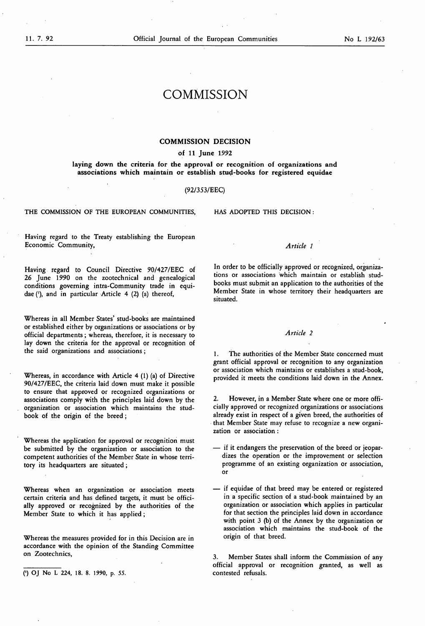# **COMMISSION**

### COMMISSION DECISION

#### of 11 June 1992

laying down the criteria for the approval or recognition of organizations and associations which maintain or establish stud-books for registered equidae

#### (92/353/EEC)

THE COMMISSION OF THE EUROPEAN COMMUNITIES, HAS ADOPTED THIS DECISION :

Having regard to the Treaty establishing the European Economic Community,

Having regard to Council Directive 90/427/EEC of 26 June 1990 on the zootechnical and genealogical conditions governing intra-Community trade in equidae ('), and in particular Article 4 (2) (a) thereof,

Whereas in all Member States' stud-books are maintained or established either by organizations or associations or by official departments ; whereas, therefore, it is necessary to lay down the criteria for the approval or recognition of the said organizations and associations ;

Whereas, in accordance with Article  $4$  (1) (a) of Directive 90/427/EEC, the criteria laid down must make it possible to ensure that approved or recognized organizations or associations comply with the principles laid down by the organization or association which maintains the studbook of the origin of the breed ;

Whereas the application for approval or recognition must be submitted by the organization or association to the competent authorities of the Member State in whose territory its headquarters are situated ;

Whereas when an organization or association meets certain criteria and has defined targets, it must be officially approved or recognized by the authorities of the Member State to which it has applied ;

Whereas the measures provided for in this Decision are in accordance with the opinion of the Standing Committee on Zootechnics,

#### Article <sup>1</sup>

In order to be officially approved or recognized, organizations or associations which maintain or establish studbooks must submit an application to the authorities of the Member State in whose territory their headquarters are situated.

#### Article 2

1. The authorities of the Member State concerned must grant official approval or recognition to any organization or association which maintains or establishes a stud-book, provided it meets the conditions laid down in the Annex.

However, in a Member State where one or more officially approved or recognized organizations or associations already exist in respect of a given breed, the authorities of that Member State may refuse to recognize a new organization or association :

- if it endangers the preservation of the breed or jeopardizes the operation or the improvement or selection programme of an existing organization or association, or
- if equidae of that breed may be entered or registered in a specific section of a stud-book maintained by an organization or association which applies in particular for that section the principles laid down in accordance with point 3 (b) of the Annex by the organization or association which maintains the stud-book of the origin of that breed.

3. Member States shall inform the Commission of any official approval or recognition granted, as well as

<sup>(&#</sup>x27;) OJ No L 224, 18. 8. 1990, p. 55.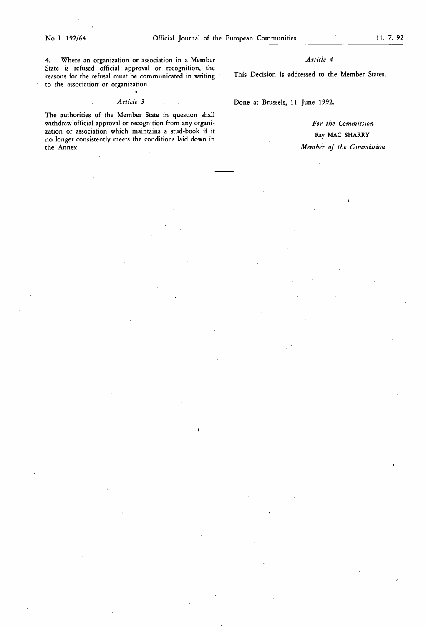4. Where an organization or association in a Member State is refused official approval or recognition, the reasons for the refusal must be communicated in writing to the association or organization.

# Article J

The authorities of the Member State in question shall withdraw official approval or recognition from any organization or association which maintains a stud-book if it no longer consistently meets the conditions laid down in the Annex.

## Article 4

This Decision is addressed to the Member States.

Done at Brussels, 11 June 1992.

For the Commission Ray MAC SHARRY Member of the Commission